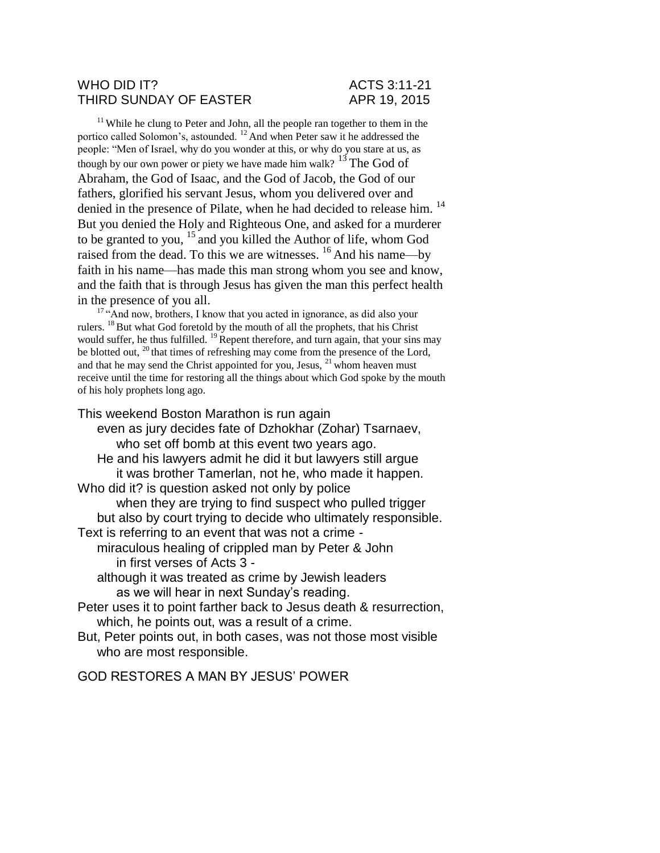### WHO DID IT? ACTS 3:11-21 THIRD SUNDAY OF EASTER APR 19, 2015

<sup>11</sup> While he clung to Peter and John, all the people ran together to them in the portico called Solomon's, astounded.  $12$  And when Peter saw it he addressed the people: "Men of Israel, why do you wonder at this, or why do you stare at us, as though by our own power or piety we have made him walk?  $13$  The God of Abraham, the God of Isaac, and the God of Jacob, the God of our fathers, glorified his servant Jesus, whom you delivered over and denied in the presence of Pilate, when he had decided to release him.<sup>14</sup> But you denied the Holy and Righteous One, and asked for a murderer to be granted to you,  $15$  and you killed the Author of life, whom God raised from the dead. To this we are witnesses. <sup>16</sup> And his name—by faith in his name—has made this man strong whom you see and know, and the faith that is through Jesus has given the man this perfect health in the presence of you all.

<sup>17</sup> "And now, brothers, I know that you acted in ignorance, as did also your rulers. <sup>18</sup> But what God foretold by the mouth of all the prophets, that his Christ would suffer, he thus fulfilled.  $^{19}$  Repent therefore, and turn again, that your sins may be blotted out, <sup>20</sup> that times of refreshing may come from the presence of the Lord, and that he may send the Christ appointed for you, Jesus,  $21$  whom heaven must receive until the time for restoring all the things about which God spoke by the mouth of his holy prophets long ago.

This weekend Boston Marathon is run again

even as jury decides fate of Dzhokhar (Zohar) Tsarnaev, who set off bomb at this event two years ago. He and his lawyers admit he did it but lawyers still argue it was brother Tamerlan, not he, who made it happen. Who did it? is question asked not only by police when they are trying to find suspect who pulled trigger but also by court trying to decide who ultimately responsible. Text is referring to an event that was not a crime miraculous healing of crippled man by Peter & John in first verses of Acts 3 although it was treated as crime by Jewish leaders as we will hear in next Sunday's reading. Peter uses it to point farther back to Jesus death & resurrection, which, he points out, was a result of a crime. But, Peter points out, in both cases, was not those most visible who are most responsible.

GOD RESTORES A MAN BY JESUS' POWER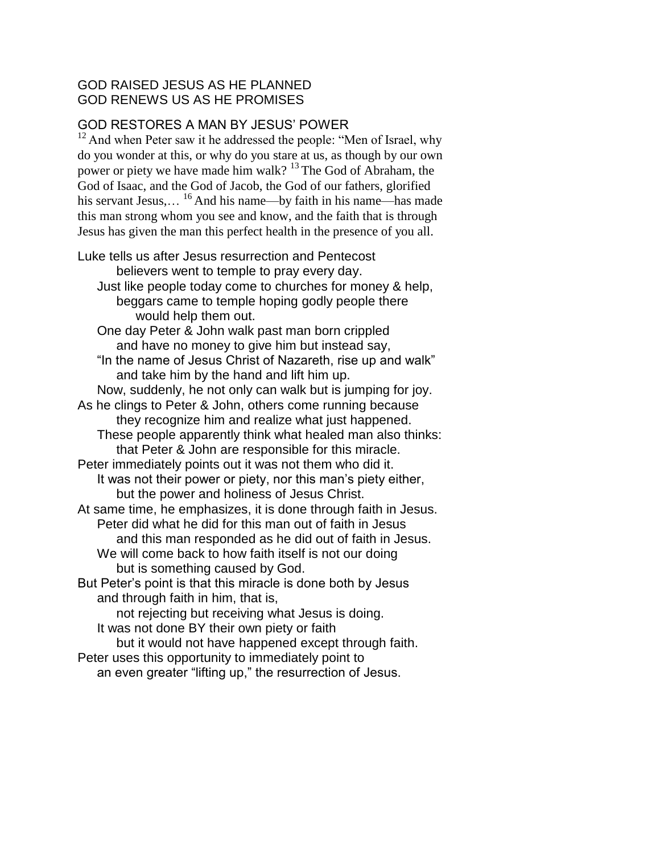## GOD RAISED JESUS AS HE PLANNED GOD RENEWS US AS HE PROMISES

# GOD RESTORES A MAN BY JESUS' POWER

 $12$  And when Peter saw it he addressed the people: "Men of Israel, why do you wonder at this, or why do you stare at us, as though by our own power or piety we have made him walk?  $13$  The God of Abraham, the God of Isaac, and the God of Jacob, the God of our fathers, glorified his servant Jesus,...  $^{16}$  And his name—by faith in his name—has made this man strong whom you see and know, and the faith that is through Jesus has given the man this perfect health in the presence of you all.

Luke tells us after Jesus resurrection and Pentecost believers went to temple to pray every day. Just like people today come to churches for money & help, beggars came to temple hoping godly people there would help them out. One day Peter & John walk past man born crippled and have no money to give him but instead say, "In the name of Jesus Christ of Nazareth, rise up and walk" and take him by the hand and lift him up. Now, suddenly, he not only can walk but is jumping for joy. As he clings to Peter & John, others come running because they recognize him and realize what just happened. These people apparently think what healed man also thinks: that Peter & John are responsible for this miracle. Peter immediately points out it was not them who did it. It was not their power or piety, nor this man's piety either, but the power and holiness of Jesus Christ. At same time, he emphasizes, it is done through faith in Jesus. Peter did what he did for this man out of faith in Jesus and this man responded as he did out of faith in Jesus. We will come back to how faith itself is not our doing but is something caused by God. But Peter's point is that this miracle is done both by Jesus and through faith in him, that is, not rejecting but receiving what Jesus is doing. It was not done BY their own piety or faith but it would not have happened except through faith. Peter uses this opportunity to immediately point to an even greater "lifting up," the resurrection of Jesus.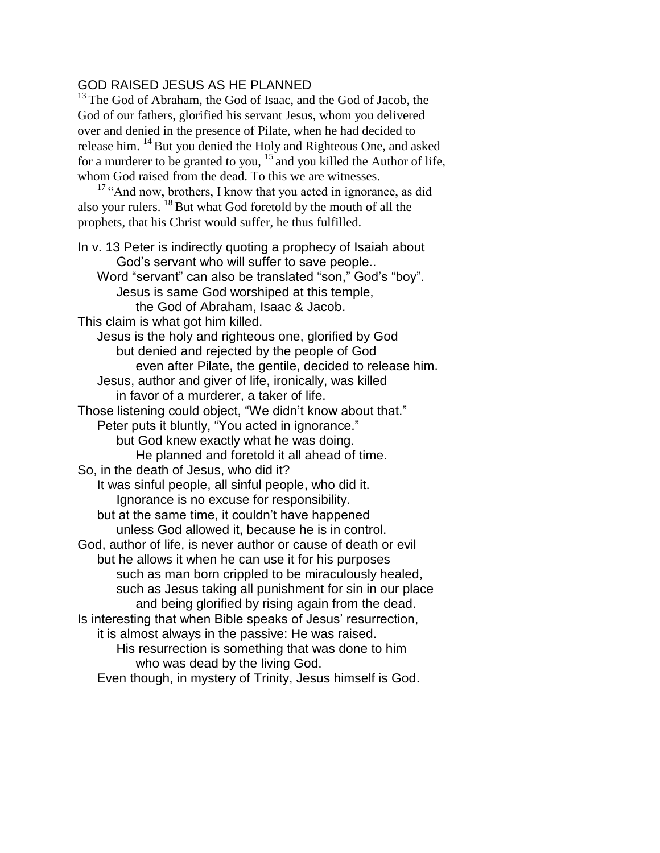## GOD RAISED JESUS AS HE PLANNED

<sup>13</sup> The God of Abraham, the God of Isaac, and the God of Jacob, the God of our fathers, glorified his servant Jesus, whom you delivered over and denied in the presence of Pilate, when he had decided to release him. <sup>14</sup> But you denied the Holy and Righteous One, and asked for a murderer to be granted to you,  $15$  and you killed the Author of life, whom God raised from the dead. To this we are witnesses.

<sup>17</sup> "And now, brothers, I know that you acted in ignorance, as did also your rulers. <sup>18</sup> But what God foretold by the mouth of all the prophets, that his Christ would suffer, he thus fulfilled.

In v. 13 Peter is indirectly quoting a prophecy of Isaiah about God's servant who will suffer to save people.. Word "servant" can also be translated "son," God's "boy". Jesus is same God worshiped at this temple, the God of Abraham, Isaac & Jacob. This claim is what got him killed. Jesus is the holy and righteous one, glorified by God but denied and rejected by the people of God even after Pilate, the gentile, decided to release him. Jesus, author and giver of life, ironically, was killed in favor of a murderer, a taker of life. Those listening could object, "We didn't know about that." Peter puts it bluntly, "You acted in ignorance." but God knew exactly what he was doing. He planned and foretold it all ahead of time. So, in the death of Jesus, who did it? It was sinful people, all sinful people, who did it. Ignorance is no excuse for responsibility. but at the same time, it couldn't have happened unless God allowed it, because he is in control. God, author of life, is never author or cause of death or evil but he allows it when he can use it for his purposes such as man born crippled to be miraculously healed, such as Jesus taking all punishment for sin in our place and being glorified by rising again from the dead. Is interesting that when Bible speaks of Jesus' resurrection, it is almost always in the passive: He was raised. His resurrection is something that was done to him who was dead by the living God. Even though, in mystery of Trinity, Jesus himself is God.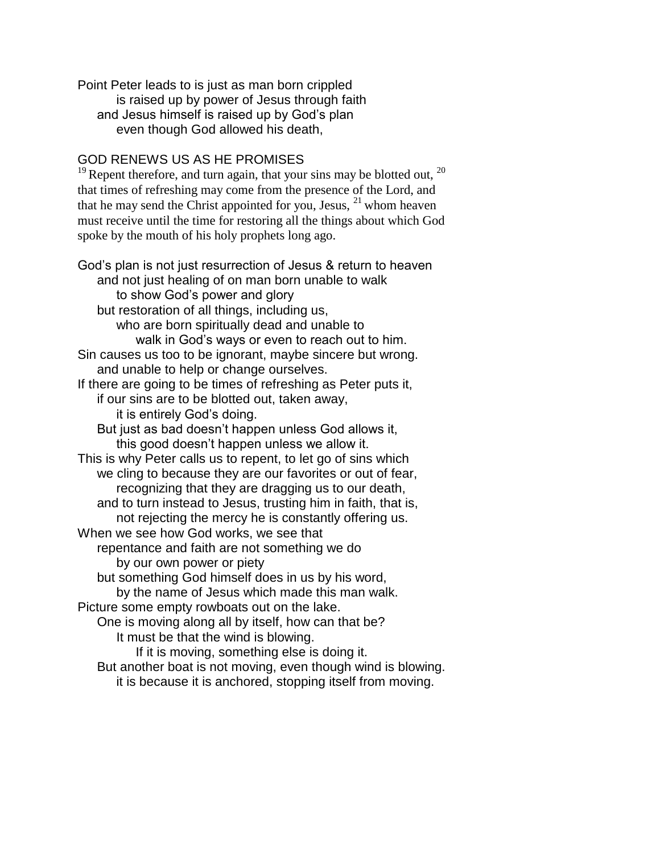Point Peter leads to is just as man born crippled is raised up by power of Jesus through faith and Jesus himself is raised up by God's plan even though God allowed his death,

## GOD RENEWS US AS HE PROMISES

<sup>19</sup> Repent therefore, and turn again, that your sins may be blotted out,  $^{20}$ that times of refreshing may come from the presence of the Lord, and that he may send the Christ appointed for you, Jesus,  $^{21}$  whom heaven must receive until the time for restoring all the things about which God spoke by the mouth of his holy prophets long ago.

God's plan is not just resurrection of Jesus & return to heaven and not just healing of on man born unable to walk to show God's power and glory but restoration of all things, including us, who are born spiritually dead and unable to walk in God's ways or even to reach out to him. Sin causes us too to be ignorant, maybe sincere but wrong. and unable to help or change ourselves. If there are going to be times of refreshing as Peter puts it, if our sins are to be blotted out, taken away, it is entirely God's doing. But just as bad doesn't happen unless God allows it, this good doesn't happen unless we allow it. This is why Peter calls us to repent, to let go of sins which we cling to because they are our favorites or out of fear, recognizing that they are dragging us to our death, and to turn instead to Jesus, trusting him in faith, that is, not rejecting the mercy he is constantly offering us. When we see how God works, we see that repentance and faith are not something we do by our own power or piety but something God himself does in us by his word, by the name of Jesus which made this man walk. Picture some empty rowboats out on the lake. One is moving along all by itself, how can that be? It must be that the wind is blowing. If it is moving, something else is doing it. But another boat is not moving, even though wind is blowing. it is because it is anchored, stopping itself from moving.